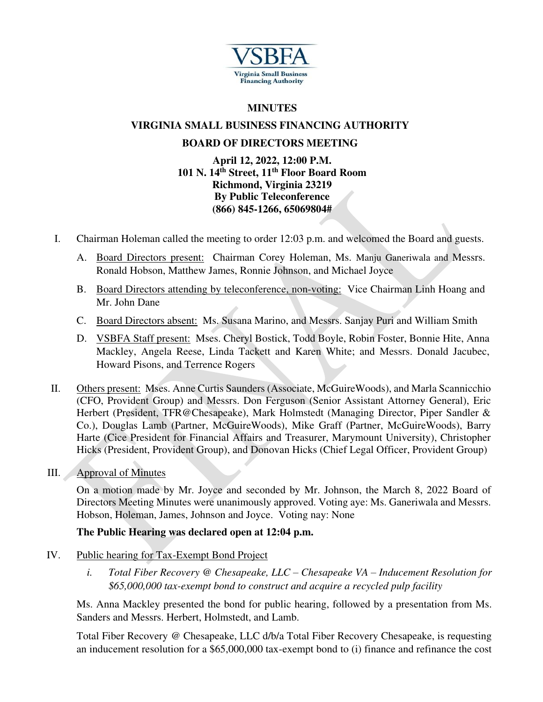

### **MINUTES**

# **VIRGINIA SMALL BUSINESS FINANCING AUTHORITY**

## **BOARD OF DIRECTORS MEETING**

#### **April 12, 2022, 12:00 P.M. 101 N. 14th Street, 11th Floor Board Room Richmond, Virginia 23219 By Public Teleconference (866) 845-1266, 65069804#**

- I. Chairman Holeman called the meeting to order 12:03 p.m. and welcomed the Board and guests.
	- A. Board Directors present: Chairman Corey Holeman, Ms. Manju Ganeriwala and Messrs. Ronald Hobson, Matthew James, Ronnie Johnson, and Michael Joyce
	- B. Board Directors attending by teleconference, non-voting: Vice Chairman Linh Hoang and Mr. John Dane
	- C. Board Directors absent: Ms. Susana Marino, and Messrs. Sanjay Puri and William Smith
	- D. VSBFA Staff present: Mses. Cheryl Bostick, Todd Boyle, Robin Foster, Bonnie Hite, Anna Mackley, Angela Reese, Linda Tackett and Karen White; and Messrs. Donald Jacubec, Howard Pisons, and Terrence Rogers
- II. Others present: Mses. Anne Curtis Saunders (Associate, McGuireWoods), and Marla Scannicchio (CFO, Provident Group) and Messrs. Don Ferguson (Senior Assistant Attorney General), Eric Herbert (President, TFR@Chesapeake), Mark Holmstedt (Managing Director, Piper Sandler & Co.), Douglas Lamb (Partner, McGuireWoods), Mike Graff (Partner, McGuireWoods), Barry Harte (Cice President for Financial Affairs and Treasurer, Marymount University), Christopher Hicks (President, Provident Group), and Donovan Hicks (Chief Legal Officer, Provident Group)
- III. Approval of Minutes

On a motion made by Mr. Joyce and seconded by Mr. Johnson, the March 8, 2022 Board of Directors Meeting Minutes were unanimously approved. Voting aye: Ms. Ganeriwala and Messrs. Hobson, Holeman, James, Johnson and Joyce. Voting nay: None

## **The Public Hearing was declared open at 12:04 p.m.**

- IV. Public hearing for Tax-Exempt Bond Project
	- *i. Total Fiber Recovery @ Chesapeake, LLC – Chesapeake VA – Inducement Resolution for \$65,000,000 tax-exempt bond to construct and acquire a recycled pulp facility*

Ms. Anna Mackley presented the bond for public hearing, followed by a presentation from Ms. Sanders and Messrs. Herbert, Holmstedt, and Lamb.

Total Fiber Recovery @ Chesapeake, LLC d/b/a Total Fiber Recovery Chesapeake, is requesting an inducement resolution for a \$65,000,000 tax-exempt bond to (i) finance and refinance the cost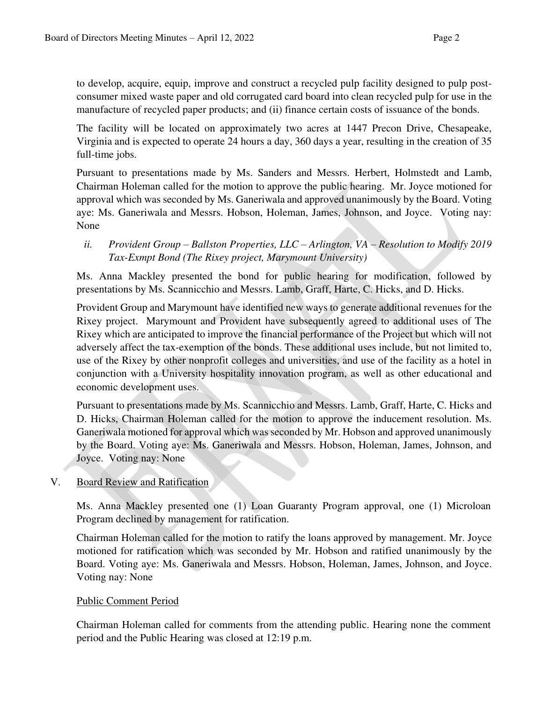to develop, acquire, equip, improve and construct a recycled pulp facility designed to pulp postconsumer mixed waste paper and old corrugated card board into clean recycled pulp for use in the manufacture of recycled paper products; and (ii) finance certain costs of issuance of the bonds.

The facility will be located on approximately two acres at 1447 Precon Drive, Chesapeake, Virginia and is expected to operate 24 hours a day, 360 days a year, resulting in the creation of 35 full-time jobs.

Pursuant to presentations made by Ms. Sanders and Messrs. Herbert, Holmstedt and Lamb, Chairman Holeman called for the motion to approve the public hearing. Mr. Joyce motioned for approval which was seconded by Ms. Ganeriwala and approved unanimously by the Board. Voting aye: Ms. Ganeriwala and Messrs. Hobson, Holeman, James, Johnson, and Joyce. Voting nay: None

## *ii. Provident Group – Ballston Properties, LLC – Arlington, VA – Resolution to Modify 2019 Tax-Exmpt Bond (The Rixey project, Marymount University)*

Ms. Anna Mackley presented the bond for public hearing for modification, followed by presentations by Ms. Scannicchio and Messrs. Lamb, Graff, Harte, C. Hicks, and D. Hicks.

Provident Group and Marymount have identified new ways to generate additional revenues for the Rixey project. Marymount and Provident have subsequently agreed to additional uses of The Rixey which are anticipated to improve the financial performance of the Project but which will not adversely affect the tax-exemption of the bonds. These additional uses include, but not limited to, use of the Rixey by other nonprofit colleges and universities, and use of the facility as a hotel in conjunction with a University hospitality innovation program, as well as other educational and economic development uses.

Pursuant to presentations made by Ms. Scannicchio and Messrs. Lamb, Graff, Harte, C. Hicks and D. Hicks, Chairman Holeman called for the motion to approve the inducement resolution. Ms. Ganeriwala motioned for approval which was seconded by Mr. Hobson and approved unanimously by the Board. Voting aye: Ms. Ganeriwala and Messrs. Hobson, Holeman, James, Johnson, and Joyce. Voting nay: None

#### V. Board Review and Ratification

Ms. Anna Mackley presented one (1) Loan Guaranty Program approval, one (1) Microloan Program declined by management for ratification.

Chairman Holeman called for the motion to ratify the loans approved by management. Mr. Joyce motioned for ratification which was seconded by Mr. Hobson and ratified unanimously by the Board. Voting aye: Ms. Ganeriwala and Messrs. Hobson, Holeman, James, Johnson, and Joyce. Voting nay: None

#### Public Comment Period

Chairman Holeman called for comments from the attending public. Hearing none the comment period and the Public Hearing was closed at 12:19 p.m.